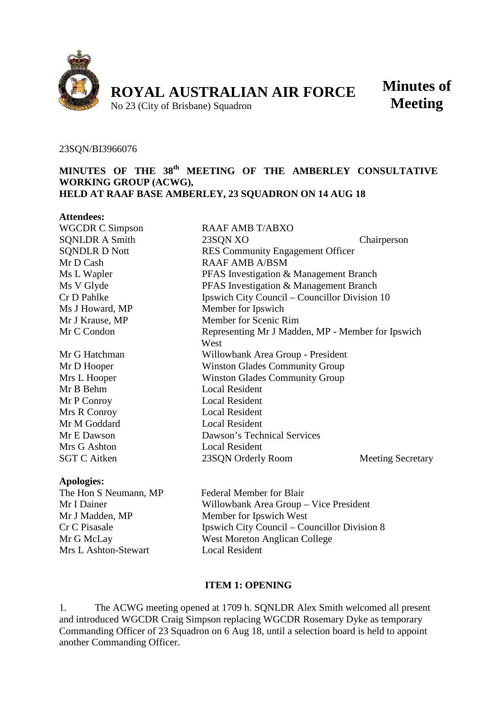

**Minutes of Meeting**

23SQN/BI3966076

#### **MINUTES OF THE 38th MEETING OF THE AMBERLEY CONSULTATIVE WORKING GROUP (ACWG), HELD AT RAAF BASE AMBERLEY, 23 SQUADRON ON 14 AUG 18**

| <b>Attendees:</b>      |                                                   |                          |
|------------------------|---------------------------------------------------|--------------------------|
| <b>WGCDR C Simpson</b> | <b>RAAF AMB T/ABXO</b>                            |                          |
| <b>SQNLDR A Smith</b>  | 23SQN XO                                          | Chairperson              |
| <b>SQNDLR D Nott</b>   | <b>RES</b> Community Engagement Officer           |                          |
| Mr D Cash              | <b>RAAF AMB A/BSM</b>                             |                          |
| Ms L Wapler            | PFAS Investigation & Management Branch            |                          |
| Ms V Glyde             | PFAS Investigation & Management Branch            |                          |
| Cr D Pahlke            | Ipswich City Council – Councillor Division 10     |                          |
| Ms J Howard, MP        | Member for Ipswich                                |                          |
| Mr J Krause, MP        | Member for Scenic Rim                             |                          |
| Mr C Condon            | Representing Mr J Madden, MP - Member for Ipswich |                          |
|                        | West                                              |                          |
| Mr G Hatchman          | Willowbank Area Group - President                 |                          |
| Mr D Hooper            | <b>Winston Glades Community Group</b>             |                          |
| Mrs L Hooper           | <b>Winston Glades Community Group</b>             |                          |
| Mr B Behm              | <b>Local Resident</b>                             |                          |
| Mr P Conroy            | <b>Local Resident</b>                             |                          |
| Mrs R Conroy           | <b>Local Resident</b>                             |                          |
| Mr M Goddard           | <b>Local Resident</b>                             |                          |
| Mr E Dawson            | Dawson's Technical Services                       |                          |
| Mrs G Ashton           | <b>Local Resident</b>                             |                          |
| <b>SGT C Aitken</b>    | 23SQN Orderly Room                                | <b>Meeting Secretary</b> |
|                        |                                                   |                          |

#### **Apologies:**

Mrs L Ashton-Stewart Local Resident

The Hon S Neumann, MP Federal Member for Blair Mr I Dainer Willowbank Area Group – Vice President Mr J Madden, MP Member for Ipswich West Cr C Pisasale Ipswich City Council – Councillor Division 8 Mr G McLay West Moreton Anglican College

#### **ITEM 1: OPENING**

1. The ACWG meeting opened at 1709 h. SQNLDR Alex Smith welcomed all present and introduced WGCDR Craig Simpson replacing WGCDR Rosemary Dyke as temporary Commanding Officer of 23 Squadron on 6 Aug 18, until a selection board is held to appoint another Commanding Officer.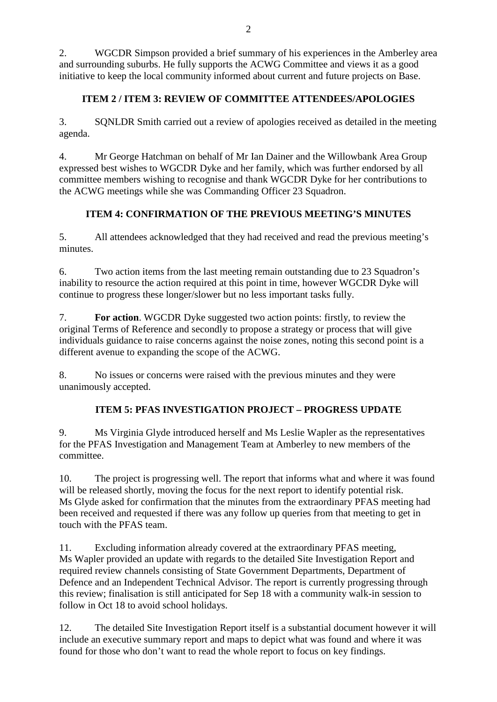2. WGCDR Simpson provided a brief summary of his experiences in the Amberley area and surrounding suburbs. He fully supports the ACWG Committee and views it as a good initiative to keep the local community informed about current and future projects on Base.

## **ITEM 2 / ITEM 3: REVIEW OF COMMITTEE ATTENDEES/APOLOGIES**

3. SQNLDR Smith carried out a review of apologies received as detailed in the meeting agenda.

4. Mr George Hatchman on behalf of Mr Ian Dainer and the Willowbank Area Group expressed best wishes to WGCDR Dyke and her family, which was further endorsed by all committee members wishing to recognise and thank WGCDR Dyke for her contributions to the ACWG meetings while she was Commanding Officer 23 Squadron.

# **ITEM 4: CONFIRMATION OF THE PREVIOUS MEETING'S MINUTES**

5. All attendees acknowledged that they had received and read the previous meeting's minutes.

6. Two action items from the last meeting remain outstanding due to 23 Squadron's inability to resource the action required at this point in time, however WGCDR Dyke will continue to progress these longer/slower but no less important tasks fully.

7. **For action**. WGCDR Dyke suggested two action points: firstly, to review the original Terms of Reference and secondly to propose a strategy or process that will give individuals guidance to raise concerns against the noise zones, noting this second point is a different avenue to expanding the scope of the ACWG.

8. No issues or concerns were raised with the previous minutes and they were unanimously accepted.

# **ITEM 5: PFAS INVESTIGATION PROJECT – PROGRESS UPDATE**

9. Ms Virginia Glyde introduced herself and Ms Leslie Wapler as the representatives for the PFAS Investigation and Management Team at Amberley to new members of the committee.

10. The project is progressing well. The report that informs what and where it was found will be released shortly, moving the focus for the next report to identify potential risk. Ms Glyde asked for confirmation that the minutes from the extraordinary PFAS meeting had been received and requested if there was any follow up queries from that meeting to get in touch with the PFAS team.

11. Excluding information already covered at the extraordinary PFAS meeting, Ms Wapler provided an update with regards to the detailed Site Investigation Report and required review channels consisting of State Government Departments, Department of Defence and an Independent Technical Advisor. The report is currently progressing through this review; finalisation is still anticipated for Sep 18 with a community walk-in session to follow in Oct 18 to avoid school holidays.

12. The detailed Site Investigation Report itself is a substantial document however it will include an executive summary report and maps to depict what was found and where it was found for those who don't want to read the whole report to focus on key findings.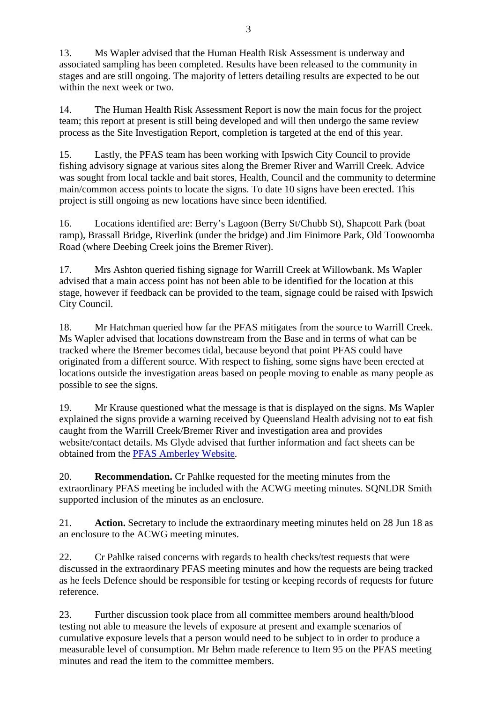13. Ms Wapler advised that the Human Health Risk Assessment is underway and associated sampling has been completed. Results have been released to the community in stages and are still ongoing. The majority of letters detailing results are expected to be out within the next week or two.

14. The Human Health Risk Assessment Report is now the main focus for the project team; this report at present is still being developed and will then undergo the same review process as the Site Investigation Report, completion is targeted at the end of this year.

15. Lastly, the PFAS team has been working with Ipswich City Council to provide fishing advisory signage at various sites along the Bremer River and Warrill Creek. Advice was sought from local tackle and bait stores, Health, Council and the community to determine main/common access points to locate the signs. To date 10 signs have been erected. This project is still ongoing as new locations have since been identified.

16. Locations identified are: Berry's Lagoon (Berry St/Chubb St), Shapcott Park (boat ramp), Brassall Bridge, Riverlink (under the bridge) and Jim Finimore Park, Old Toowoomba Road (where Deebing Creek joins the Bremer River).

17. Mrs Ashton queried fishing signage for Warrill Creek at Willowbank. Ms Wapler advised that a main access point has not been able to be identified for the location at this stage, however if feedback can be provided to the team, signage could be raised with Ipswich City Council.

18. Mr Hatchman queried how far the PFAS mitigates from the source to Warrill Creek. Ms Wapler advised that locations downstream from the Base and in terms of what can be tracked where the Bremer becomes tidal, because beyond that point PFAS could have originated from a different source. With respect to fishing, some signs have been erected at locations outside the investigation areas based on people moving to enable as many people as possible to see the signs.

19. Mr Krause questioned what the message is that is displayed on the signs. Ms Wapler explained the signs provide a warning received by Queensland Health advising not to eat fish caught from the Warrill Creek/Bremer River and investigation area and provides website/contact details. Ms Glyde advised that further information and fact sheets can be obtained from the [PFAS Amberley Website.](http://www.defence.gov.au/Environment/PFAS/Amberley/)

20. **Recommendation.** Cr Pahlke requested for the meeting minutes from the extraordinary PFAS meeting be included with the ACWG meeting minutes. SONLDR Smith supported inclusion of the minutes as an enclosure.

21. **Action.** Secretary to include the extraordinary meeting minutes held on 28 Jun 18 as an enclosure to the ACWG meeting minutes.

22. Cr Pahlke raised concerns with regards to health checks/test requests that were discussed in the extraordinary PFAS meeting minutes and how the requests are being tracked as he feels Defence should be responsible for testing or keeping records of requests for future reference.

23. Further discussion took place from all committee members around health/blood testing not able to measure the levels of exposure at present and example scenarios of cumulative exposure levels that a person would need to be subject to in order to produce a measurable level of consumption. Mr Behm made reference to Item 95 on the PFAS meeting minutes and read the item to the committee members.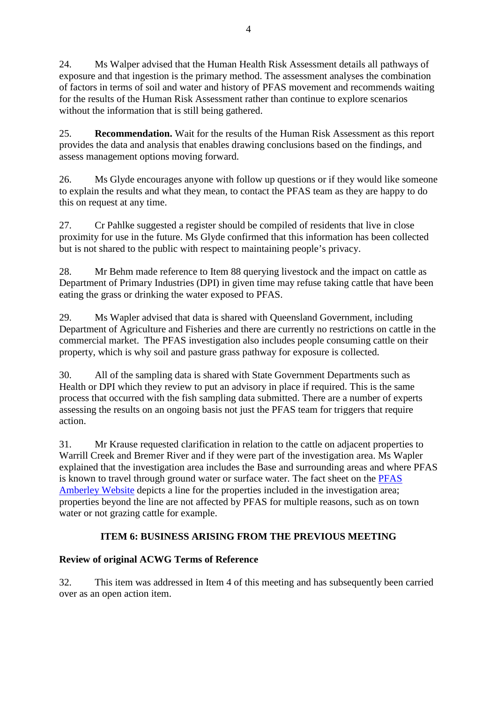24. Ms Walper advised that the Human Health Risk Assessment details all pathways of exposure and that ingestion is the primary method. The assessment analyses the combination of factors in terms of soil and water and history of PFAS movement and recommends waiting for the results of the Human Risk Assessment rather than continue to explore scenarios without the information that is still being gathered.

25. **Recommendation.** Wait for the results of the Human Risk Assessment as this report provides the data and analysis that enables drawing conclusions based on the findings, and assess management options moving forward.

26. Ms Glyde encourages anyone with follow up questions or if they would like someone to explain the results and what they mean, to contact the PFAS team as they are happy to do this on request at any time.

27. Cr Pahlke suggested a register should be compiled of residents that live in close proximity for use in the future. Ms Glyde confirmed that this information has been collected but is not shared to the public with respect to maintaining people's privacy.

28. Mr Behm made reference to Item 88 querying livestock and the impact on cattle as Department of Primary Industries (DPI) in given time may refuse taking cattle that have been eating the grass or drinking the water exposed to PFAS.

29. Ms Wapler advised that data is shared with Queensland Government, including Department of Agriculture and Fisheries and there are currently no restrictions on cattle in the commercial market. The PFAS investigation also includes people consuming cattle on their property, which is why soil and pasture grass pathway for exposure is collected.

30. All of the sampling data is shared with State Government Departments such as Health or DPI which they review to put an advisory in place if required. This is the same process that occurred with the fish sampling data submitted. There are a number of experts assessing the results on an ongoing basis not just the PFAS team for triggers that require action.

31. Mr Krause requested clarification in relation to the cattle on adjacent properties to Warrill Creek and Bremer River and if they were part of the investigation area. Ms Wapler explained that the investigation area includes the Base and surrounding areas and where PFAS is known to travel through ground water or surface water. The fact sheet on the [PFAS](http://www.defence.gov.au/Environment/PFAS/Amberley/)  [Amberley Website](http://www.defence.gov.au/Environment/PFAS/Amberley/) depicts a line for the properties included in the investigation area; properties beyond the line are not affected by PFAS for multiple reasons, such as on town water or not grazing cattle for example.

### **ITEM 6: BUSINESS ARISING FROM THE PREVIOUS MEETING**

### **Review of original ACWG Terms of Reference**

32. This item was addressed in Item 4 of this meeting and has subsequently been carried over as an open action item.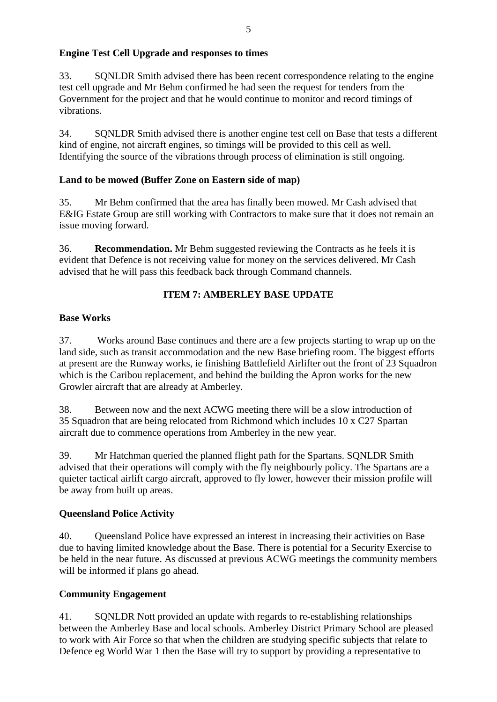### **Engine Test Cell Upgrade and responses to times**

33. SQNLDR Smith advised there has been recent correspondence relating to the engine test cell upgrade and Mr Behm confirmed he had seen the request for tenders from the Government for the project and that he would continue to monitor and record timings of vibrations.

34. SQNLDR Smith advised there is another engine test cell on Base that tests a different kind of engine, not aircraft engines, so timings will be provided to this cell as well. Identifying the source of the vibrations through process of elimination is still ongoing.

#### **Land to be mowed (Buffer Zone on Eastern side of map)**

35. Mr Behm confirmed that the area has finally been mowed. Mr Cash advised that E&IG Estate Group are still working with Contractors to make sure that it does not remain an issue moving forward.

36. **Recommendation.** Mr Behm suggested reviewing the Contracts as he feels it is evident that Defence is not receiving value for money on the services delivered. Mr Cash advised that he will pass this feedback back through Command channels.

### **ITEM 7: AMBERLEY BASE UPDATE**

### **Base Works**

37. Works around Base continues and there are a few projects starting to wrap up on the land side, such as transit accommodation and the new Base briefing room. The biggest efforts at present are the Runway works, ie finishing Battlefield Airlifter out the front of 23 Squadron which is the Caribou replacement, and behind the building the Apron works for the new Growler aircraft that are already at Amberley.

38. Between now and the next ACWG meeting there will be a slow introduction of 35 Squadron that are being relocated from Richmond which includes 10 x C27 Spartan aircraft due to commence operations from Amberley in the new year.

39. Mr Hatchman queried the planned flight path for the Spartans. SQNLDR Smith advised that their operations will comply with the fly neighbourly policy. The Spartans are a quieter tactical airlift cargo aircraft, approved to fly lower, however their mission profile will be away from built up areas.

#### **Queensland Police Activity**

40. Queensland Police have expressed an interest in increasing their activities on Base due to having limited knowledge about the Base. There is potential for a Security Exercise to be held in the near future. As discussed at previous ACWG meetings the community members will be informed if plans go ahead.

#### **Community Engagement**

41. SQNLDR Nott provided an update with regards to re-establishing relationships between the Amberley Base and local schools. Amberley District Primary School are pleased to work with Air Force so that when the children are studying specific subjects that relate to Defence eg World War 1 then the Base will try to support by providing a representative to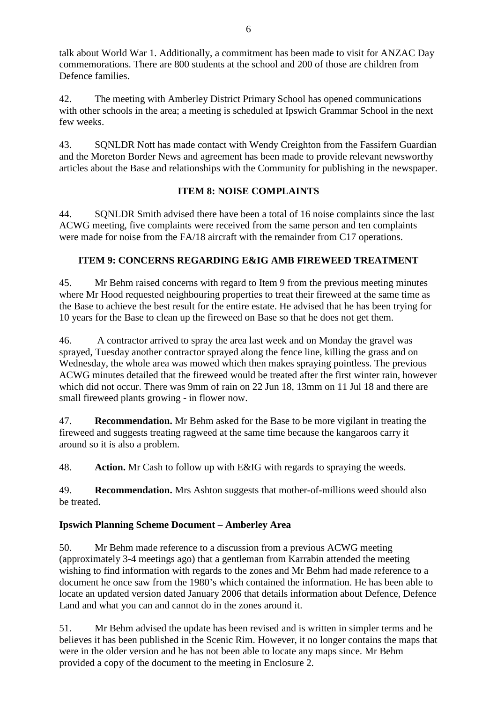talk about World War 1. Additionally, a commitment has been made to visit for ANZAC Day commemorations. There are 800 students at the school and 200 of those are children from Defence families.

42. The meeting with Amberley District Primary School has opened communications with other schools in the area; a meeting is scheduled at Ipswich Grammar School in the next few weeks.

43. SQNLDR Nott has made contact with Wendy Creighton from the Fassifern Guardian and the Moreton Border News and agreement has been made to provide relevant newsworthy articles about the Base and relationships with the Community for publishing in the newspaper.

### **ITEM 8: NOISE COMPLAINTS**

44. SQNLDR Smith advised there have been a total of 16 noise complaints since the last ACWG meeting, five complaints were received from the same person and ten complaints were made for noise from the FA/18 aircraft with the remainder from C17 operations.

### **ITEM 9: CONCERNS REGARDING E&IG AMB FIREWEED TREATMENT**

45. Mr Behm raised concerns with regard to Item 9 from the previous meeting minutes where Mr Hood requested neighbouring properties to treat their fireweed at the same time as the Base to achieve the best result for the entire estate. He advised that he has been trying for 10 years for the Base to clean up the fireweed on Base so that he does not get them.

46. A contractor arrived to spray the area last week and on Monday the gravel was sprayed, Tuesday another contractor sprayed along the fence line, killing the grass and on Wednesday, the whole area was mowed which then makes spraying pointless. The previous ACWG minutes detailed that the fireweed would be treated after the first winter rain, however which did not occur. There was 9mm of rain on 22 Jun 18, 13mm on 11 Jul 18 and there are small fireweed plants growing - in flower now.

47. **Recommendation.** Mr Behm asked for the Base to be more vigilant in treating the fireweed and suggests treating ragweed at the same time because the kangaroos carry it around so it is also a problem.

48. **Action.** Mr Cash to follow up with E&IG with regards to spraying the weeds.

49. **Recommendation.** Mrs Ashton suggests that mother-of-millions weed should also be treated.

#### **Ipswich Planning Scheme Document – Amberley Area**

50. Mr Behm made reference to a discussion from a previous ACWG meeting (approximately 3-4 meetings ago) that a gentleman from Karrabin attended the meeting wishing to find information with regards to the zones and Mr Behm had made reference to a document he once saw from the 1980's which contained the information. He has been able to locate an updated version dated January 2006 that details information about Defence, Defence Land and what you can and cannot do in the zones around it.

51. Mr Behm advised the update has been revised and is written in simpler terms and he believes it has been published in the Scenic Rim. However, it no longer contains the maps that were in the older version and he has not been able to locate any maps since. Mr Behm provided a copy of the document to the meeting in Enclosure 2.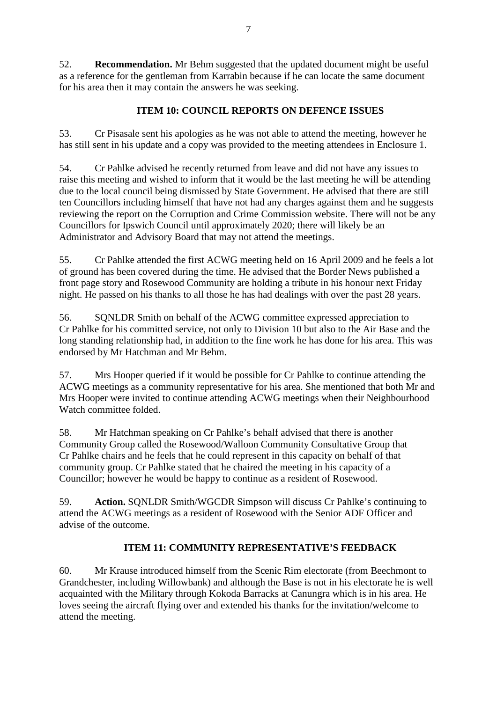52. **Recommendation.** Mr Behm suggested that the updated document might be useful as a reference for the gentleman from Karrabin because if he can locate the same document for his area then it may contain the answers he was seeking.

### **ITEM 10: COUNCIL REPORTS ON DEFENCE ISSUES**

53. Cr Pisasale sent his apologies as he was not able to attend the meeting, however he has still sent in his update and a copy was provided to the meeting attendees in Enclosure 1.

54. Cr Pahlke advised he recently returned from leave and did not have any issues to raise this meeting and wished to inform that it would be the last meeting he will be attending due to the local council being dismissed by State Government. He advised that there are still ten Councillors including himself that have not had any charges against them and he suggests reviewing the report on the Corruption and Crime Commission website. There will not be any Councillors for Ipswich Council until approximately 2020; there will likely be an Administrator and Advisory Board that may not attend the meetings.

55. Cr Pahlke attended the first ACWG meeting held on 16 April 2009 and he feels a lot of ground has been covered during the time. He advised that the Border News published a front page story and Rosewood Community are holding a tribute in his honour next Friday night. He passed on his thanks to all those he has had dealings with over the past 28 years.

56. SQNLDR Smith on behalf of the ACWG committee expressed appreciation to Cr Pahlke for his committed service, not only to Division 10 but also to the Air Base and the long standing relationship had, in addition to the fine work he has done for his area. This was endorsed by Mr Hatchman and Mr Behm.

57. Mrs Hooper queried if it would be possible for Cr Pahlke to continue attending the ACWG meetings as a community representative for his area. She mentioned that both Mr and Mrs Hooper were invited to continue attending ACWG meetings when their Neighbourhood Watch committee folded.

58. Mr Hatchman speaking on Cr Pahlke's behalf advised that there is another Community Group called the Rosewood/Walloon Community Consultative Group that Cr Pahlke chairs and he feels that he could represent in this capacity on behalf of that community group. Cr Pahlke stated that he chaired the meeting in his capacity of a Councillor; however he would be happy to continue as a resident of Rosewood.

59. **Action.** SQNLDR Smith/WGCDR Simpson will discuss Cr Pahlke's continuing to attend the ACWG meetings as a resident of Rosewood with the Senior ADF Officer and advise of the outcome.

#### **ITEM 11: COMMUNITY REPRESENTATIVE'S FEEDBACK**

60. Mr Krause introduced himself from the Scenic Rim electorate (from Beechmont to Grandchester, including Willowbank) and although the Base is not in his electorate he is well acquainted with the Military through Kokoda Barracks at Canungra which is in his area. He loves seeing the aircraft flying over and extended his thanks for the invitation/welcome to attend the meeting.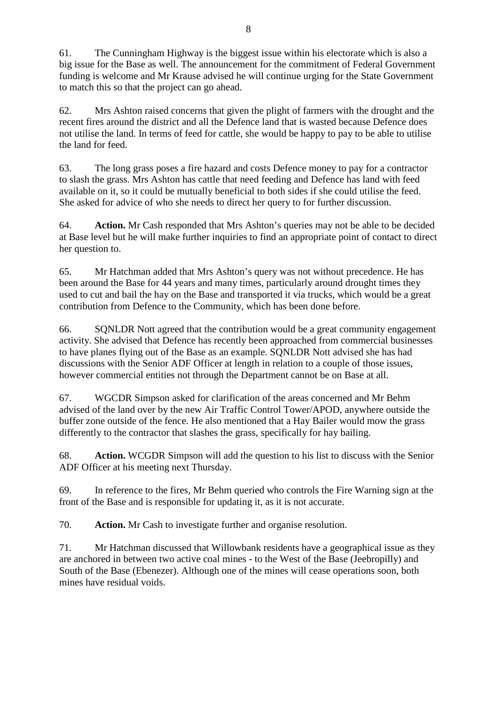61. The Cunningham Highway is the biggest issue within his electorate which is also a big issue for the Base as well. The announcement for the commitment of Federal Government funding is welcome and Mr Krause advised he will continue urging for the State Government to match this so that the project can go ahead.

62. Mrs Ashton raised concerns that given the plight of farmers with the drought and the recent fires around the district and all the Defence land that is wasted because Defence does not utilise the land. In terms of feed for cattle, she would be happy to pay to be able to utilise the land for feed.

63. The long grass poses a fire hazard and costs Defence money to pay for a contractor to slash the grass. Mrs Ashton has cattle that need feeding and Defence has land with feed available on it, so it could be mutually beneficial to both sides if she could utilise the feed. She asked for advice of who she needs to direct her query to for further discussion.

64. **Action.** Mr Cash responded that Mrs Ashton's queries may not be able to be decided at Base level but he will make further inquiries to find an appropriate point of contact to direct her question to.

65. Mr Hatchman added that Mrs Ashton's query was not without precedence. He has been around the Base for 44 years and many times, particularly around drought times they used to cut and bail the hay on the Base and transported it via trucks, which would be a great contribution from Defence to the Community, which has been done before.

66. SQNLDR Nott agreed that the contribution would be a great community engagement activity. She advised that Defence has recently been approached from commercial businesses to have planes flying out of the Base as an example. SQNLDR Nott advised she has had discussions with the Senior ADF Officer at length in relation to a couple of those issues, however commercial entities not through the Department cannot be on Base at all.

67. WGCDR Simpson asked for clarification of the areas concerned and Mr Behm advised of the land over by the new Air Traffic Control Tower/APOD, anywhere outside the buffer zone outside of the fence. He also mentioned that a Hay Bailer would mow the grass differently to the contractor that slashes the grass, specifically for hay bailing.

68. **Action.** WCGDR Simpson will add the question to his list to discuss with the Senior ADF Officer at his meeting next Thursday.

69. In reference to the fires, Mr Behm queried who controls the Fire Warning sign at the front of the Base and is responsible for updating it, as it is not accurate.

70. **Action.** Mr Cash to investigate further and organise resolution.

71. Mr Hatchman discussed that Willowbank residents have a geographical issue as they are anchored in between two active coal mines - to the West of the Base (Jeebropilly) and South of the Base (Ebenezer). Although one of the mines will cease operations soon, both mines have residual voids.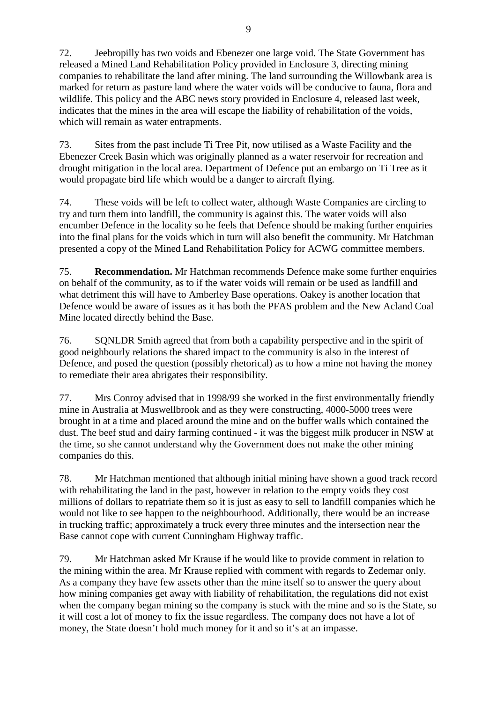72. Jeebropilly has two voids and Ebenezer one large void. The State Government has released a Mined Land Rehabilitation Policy provided in Enclosure 3, directing mining companies to rehabilitate the land after mining. The land surrounding the Willowbank area is marked for return as pasture land where the water voids will be conducive to fauna, flora and wildlife. This policy and the ABC news story provided in Enclosure 4, released last week, indicates that the mines in the area will escape the liability of rehabilitation of the voids, which will remain as water entrapments.

73. Sites from the past include Ti Tree Pit, now utilised as a Waste Facility and the Ebenezer Creek Basin which was originally planned as a water reservoir for recreation and drought mitigation in the local area. Department of Defence put an embargo on Ti Tree as it would propagate bird life which would be a danger to aircraft flying.

74. These voids will be left to collect water, although Waste Companies are circling to try and turn them into landfill, the community is against this. The water voids will also encumber Defence in the locality so he feels that Defence should be making further enquiries into the final plans for the voids which in turn will also benefit the community. Mr Hatchman presented a copy of the Mined Land Rehabilitation Policy for ACWG committee members.

75. **Recommendation.** Mr Hatchman recommends Defence make some further enquiries on behalf of the community, as to if the water voids will remain or be used as landfill and what detriment this will have to Amberley Base operations. Oakey is another location that Defence would be aware of issues as it has both the PFAS problem and the New Acland Coal Mine located directly behind the Base.

76. SQNLDR Smith agreed that from both a capability perspective and in the spirit of good neighbourly relations the shared impact to the community is also in the interest of Defence, and posed the question (possibly rhetorical) as to how a mine not having the money to remediate their area abrigates their responsibility.

77. Mrs Conroy advised that in 1998/99 she worked in the first environmentally friendly mine in Australia at Muswellbrook and as they were constructing, 4000-5000 trees were brought in at a time and placed around the mine and on the buffer walls which contained the dust. The beef stud and dairy farming continued - it was the biggest milk producer in NSW at the time, so she cannot understand why the Government does not make the other mining companies do this.

78. Mr Hatchman mentioned that although initial mining have shown a good track record with rehabilitating the land in the past, however in relation to the empty voids they cost millions of dollars to repatriate them so it is just as easy to sell to landfill companies which he would not like to see happen to the neighbourhood. Additionally, there would be an increase in trucking traffic; approximately a truck every three minutes and the intersection near the Base cannot cope with current Cunningham Highway traffic.

79. Mr Hatchman asked Mr Krause if he would like to provide comment in relation to the mining within the area. Mr Krause replied with comment with regards to Zedemar only. As a company they have few assets other than the mine itself so to answer the query about how mining companies get away with liability of rehabilitation, the regulations did not exist when the company began mining so the company is stuck with the mine and so is the State, so it will cost a lot of money to fix the issue regardless. The company does not have a lot of money, the State doesn't hold much money for it and so it's at an impasse.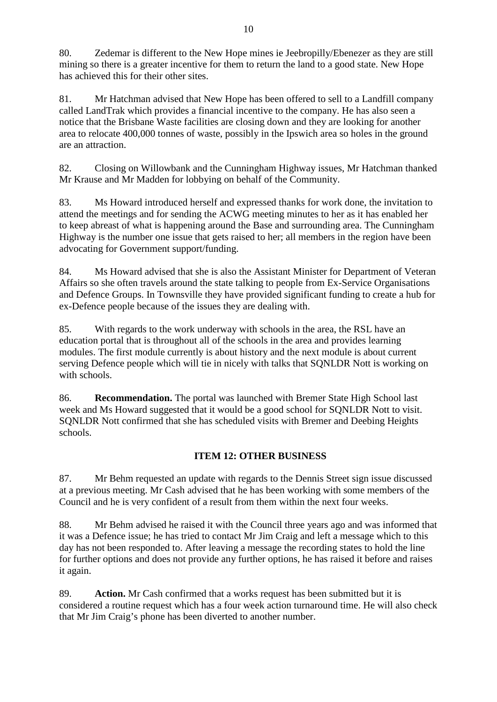80. Zedemar is different to the New Hope mines ie Jeebropilly/Ebenezer as they are still mining so there is a greater incentive for them to return the land to a good state. New Hope has achieved this for their other sites.

81. Mr Hatchman advised that New Hope has been offered to sell to a Landfill company called LandTrak which provides a financial incentive to the company. He has also seen a notice that the Brisbane Waste facilities are closing down and they are looking for another area to relocate 400,000 tonnes of waste, possibly in the Ipswich area so holes in the ground are an attraction.

82. Closing on Willowbank and the Cunningham Highway issues, Mr Hatchman thanked Mr Krause and Mr Madden for lobbying on behalf of the Community.

83. Ms Howard introduced herself and expressed thanks for work done, the invitation to attend the meetings and for sending the ACWG meeting minutes to her as it has enabled her to keep abreast of what is happening around the Base and surrounding area. The Cunningham Highway is the number one issue that gets raised to her; all members in the region have been advocating for Government support/funding.

84. Ms Howard advised that she is also the Assistant Minister for Department of Veteran Affairs so she often travels around the state talking to people from Ex-Service Organisations and Defence Groups. In Townsville they have provided significant funding to create a hub for ex-Defence people because of the issues they are dealing with.

85. With regards to the work underway with schools in the area, the RSL have an education portal that is throughout all of the schools in the area and provides learning modules. The first module currently is about history and the next module is about current serving Defence people which will tie in nicely with talks that SQNLDR Nott is working on with schools.

86. **Recommendation.** The portal was launched with Bremer State High School last week and Ms Howard suggested that it would be a good school for SQNLDR Nott to visit. SQNLDR Nott confirmed that she has scheduled visits with Bremer and Deebing Heights schools.

### **ITEM 12: OTHER BUSINESS**

87. Mr Behm requested an update with regards to the Dennis Street sign issue discussed at a previous meeting. Mr Cash advised that he has been working with some members of the Council and he is very confident of a result from them within the next four weeks.

88. Mr Behm advised he raised it with the Council three years ago and was informed that it was a Defence issue; he has tried to contact Mr Jim Craig and left a message which to this day has not been responded to. After leaving a message the recording states to hold the line for further options and does not provide any further options, he has raised it before and raises it again.

89. **Action.** Mr Cash confirmed that a works request has been submitted but it is considered a routine request which has a four week action turnaround time. He will also check that Mr Jim Craig's phone has been diverted to another number.